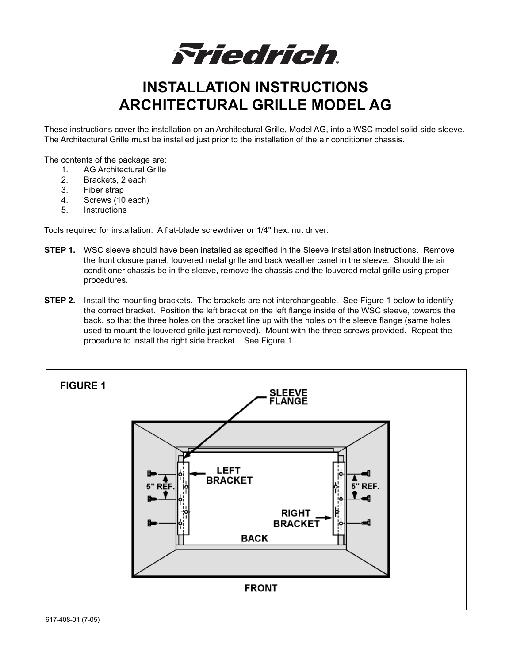*Friedrich* 

## **INSTALLATION INSTRUCTIONS ARCHITECTURAL GRILLE MODEL AG**

These instructions cover the installation on an Architectural Grille, Model AG, into a WSC model solid-side sleeve. The Architectural Grille must be installed just prior to the installation of the air conditioner chassis.

The contents of the package are:

- 1. AG Architectural Grille<br>2. Brackets. 2 each
- 2. Brackets, 2 each<br>3. Fiber strap
- Fiber strap
- 4. Screws (10 each)
- 5. Instructions

Tools required for installation: A flat-blade screwdriver or 1/4" hex. nut driver.

- **STEP 1.** WSC sleeve should have been installed as specified in the Sleeve Installation Instructions. Remove the front closure panel, louvered metal grille and back weather panel in the sleeve. Should the air conditioner chassis be in the sleeve, remove the chassis and the louvered metal grille using proper procedures.
- **STEP 2.** Install the mounting brackets. The brackets are not interchangeable. See Figure 1 below to identify the correct bracket. Position the left bracket on the left flange inside of the WSC sleeve, towards the back, so that the three holes on the bracket line up with the holes on the sleeve flange (same holes used to mount the louvered grille just removed). Mount with the three screws provided. Repeat the procedure to install the right side bracket. See Figure 1.